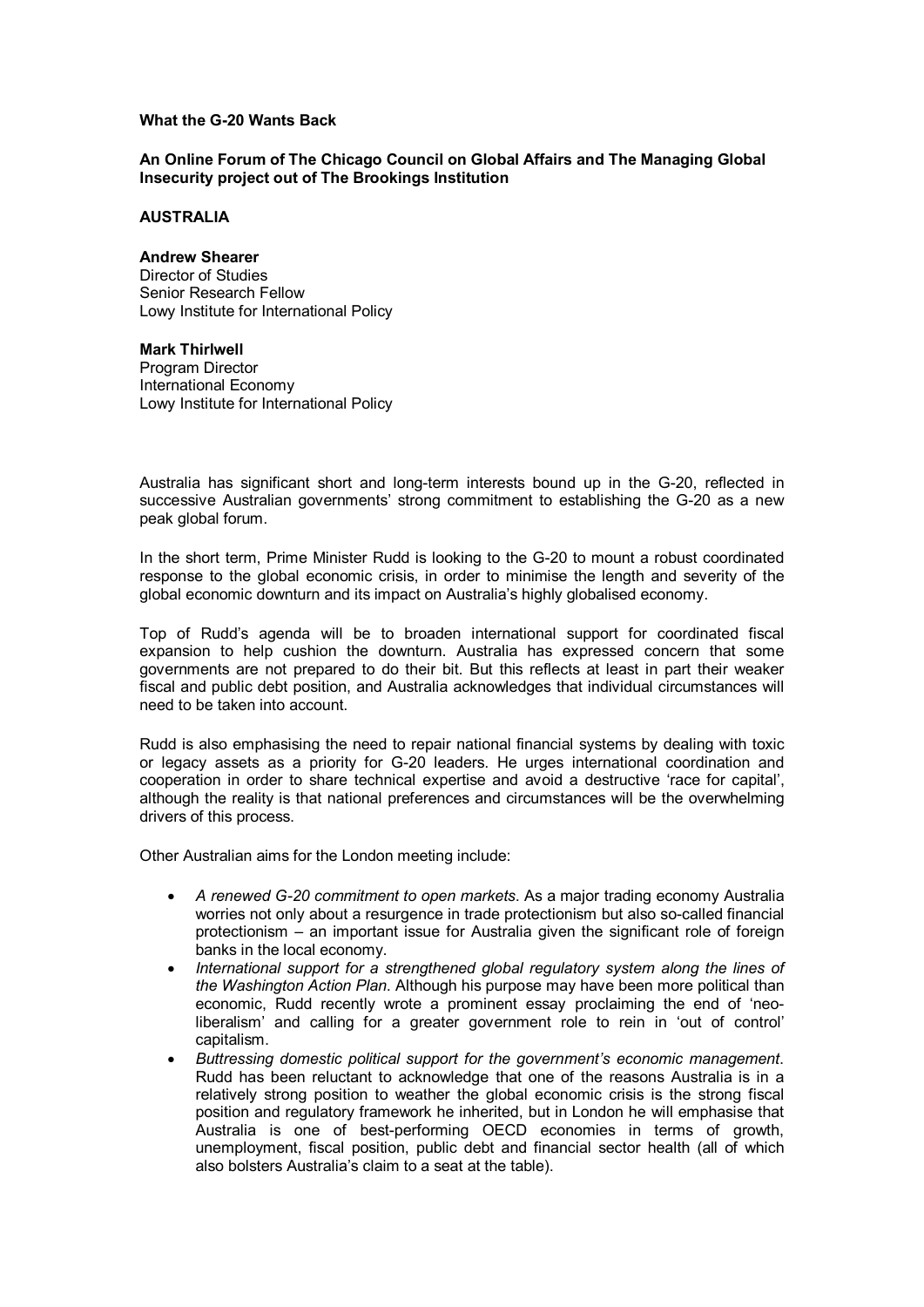## **What the G20 Wants Back**

**An Online Forum of The Chicago Council on Global Affairs and The Managing Global Insecurity project out of The Brookings Institution**

## **AUSTRALIA**

**Andrew Shearer** Director of Studies Senior Research Fellow Lowy Institute for International Policy

**Mark Thirlwell** Program Director International Economy Lowy Institute for International Policy

Australia has significant short and long-term interests bound up in the G-20, reflected in successive Australian governments' strong commitment to establishing the G-20 as a new peak global forum.

In the short term, Prime Minister Rudd is looking to the G-20 to mount a robust coordinated response to the global economic crisis, in order to minimise the length and severity of the global economic downturn and its impact on Australia's highly globalised economy.

Top of Rudd's agenda will be to broaden international support for coordinated fiscal expansion to help cushion the downturn. Australia has expressed concern that some governments are not prepared to do their bit. But this reflects at least in part their weaker fiscal and public debt position, and Australia acknowledges that individual circumstances will need to be taken into account.

Rudd is also emphasising the need to repair national financial systems by dealing with toxic or legacy assets as a priority for G-20 leaders. He urges international coordination and cooperation in order to share technical expertise and avoid a destructive 'race for capital', although the reality is that national preferences and circumstances will be the overwhelming drivers of this process.

Other Australian aims for the London meeting include:

- · *A renewed G20 commitment to open markets*. As a major trading economy Australia worries not only about a resurgence in trade protectionism but also so-called financial protectionism – an important issue for Australia given the significant role of foreign banks in the local economy.
- · *International support for a strengthened global regulatory system along the lines of the Washington Action Plan*. Although his purpose may have been more political than economic, Rudd recently wrote a prominent essay proclaiming the end of 'neo liberalism' and calling for a greater government role to rein in 'out of control' capitalism.
- · *Buttressing domestic political support for the government's economic management*. Rudd has been reluctant to acknowledge that one of the reasons Australia is in a relatively strong position to weather the global economic crisis is the strong fiscal position and regulatory framework he inherited, but in London he will emphasise that Australia is one of best-performing OECD economies in terms of growth, unemployment, fiscal position, public debt and financial sector health (all of which also bolsters Australia's claim to a seat at the table).